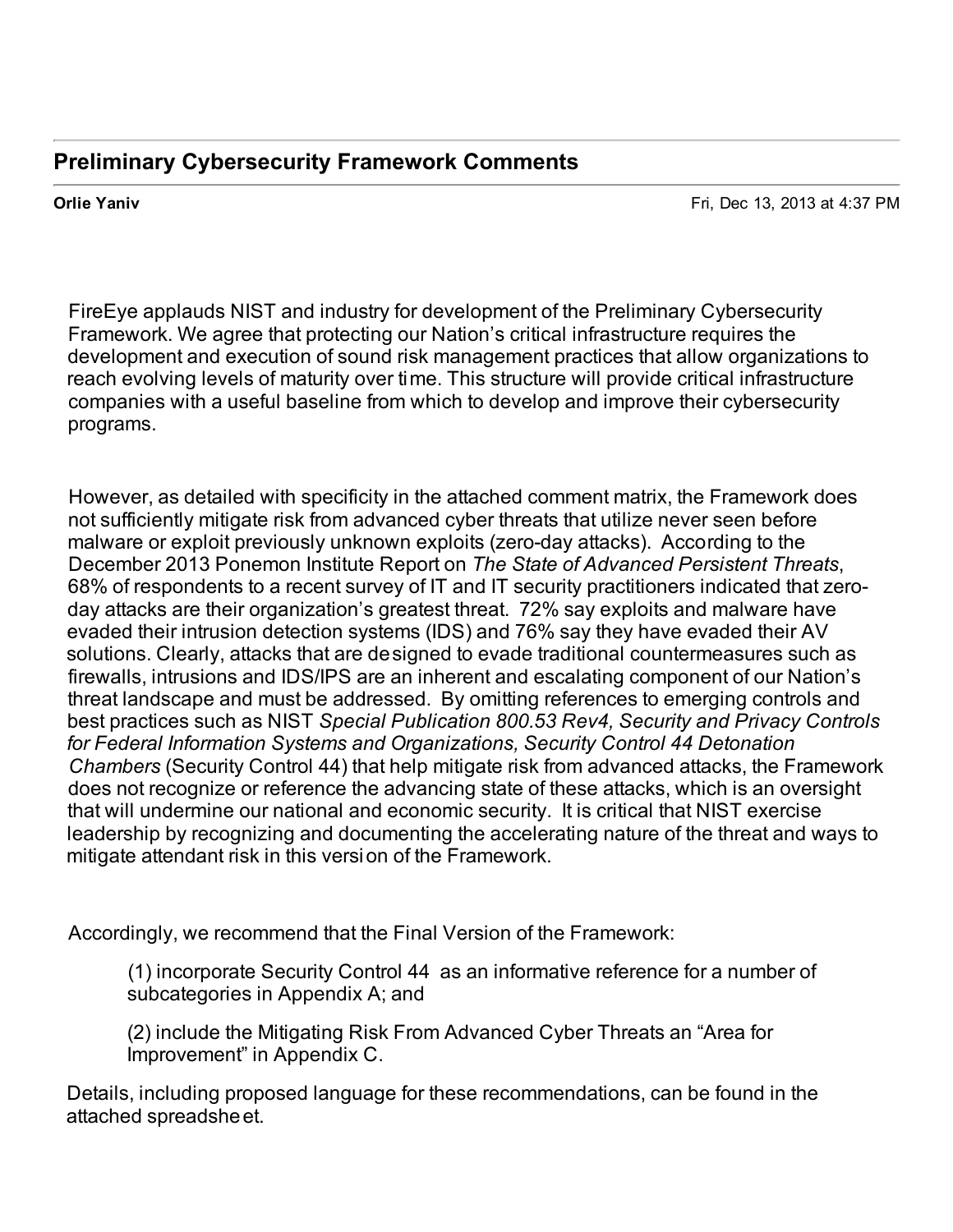## **Preliminary Cybersecurity Framework Comments**

 **Orlie Yaniv** Fri, Dec 13, 2013 at 4:37 PM

 FireEye applauds NIST and industry for development of the Preliminary Cybersecurity Framework. We agree that protecting our Nation's critical infrastructure requires the development and execution of sound risk management practices that allow organizations to reach evolving levels of maturity over time. This structure will provide critical infrastructure companies with a useful baseline from which to develop and improve their cybersecurity programs.

 However, as detailed with specificity in the attached comment matrix, the Framework does not sufficiently mitigate risk from advanced cyber threats that utilize never seen before malware or exploit previously unknown exploits (zero-day attacks). According to the  December 2013 Ponemon Institute Report on *The State of Advanced Persistent Threats*, 68% of respondents to a recent survey of IT and IT security practitioners indicated that zero- day attacks are their organization's greatest threat. 72% say exploits and malware have evaded their intrusion detection systems (IDS) and 76% say they have evaded their AV solutions. Clearly, attacks that are designed to evade traditional countermeasures such as firewalls, intrusions and IDS/IPS are an inherent and escalating component of our Nation's threat landscape and must be addressed. By omitting references to emerging controls and  best practices such as NIST *Special Publication 800.53 Rev4, Security and Privacy Controls for Federal Information Systems and Organizations, Security Control 44 Detonation Chambers* (Security Control 44) that help mitigate risk from advanced attacks, the Framework does not recognize or reference the advancing state of these attacks, which is an oversight that will undermine our national and economic security. It is critical that NIST exercise leadership by recognizing and documenting the accelerating nature of the threat and ways to mitigate attendant risk in this version of the Framework.

Accordingly, we recommend that the Final Version of the Framework:

 (1) incorporate Security Control 44 as an informative reference for a number of subcategories in Appendix A; and

 (2) include the Mitigating Risk From Advanced Cyber Threats an "Area for Improvement" in Appendix C.

 Details, including proposed language for these recommendations, can be found in the attached spreadsheet.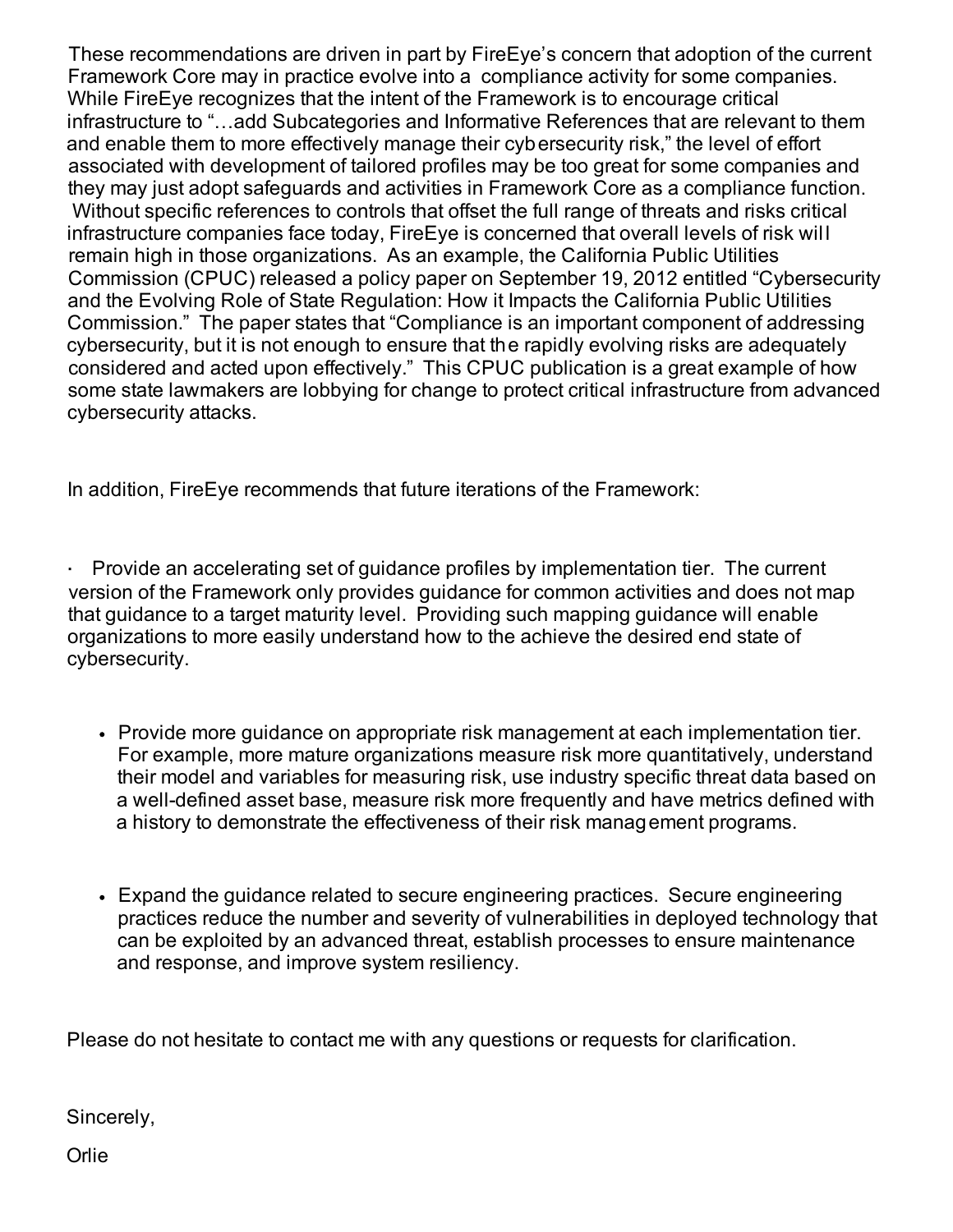These recommendations are driven in part by FireEye's concern that adoption of the current Framework Core may in practice evolve into a compliance activity for some companies. While FireEye recognizes that the intent of the Framework is to encourage critical infrastructure to "…add Subcategories and Informative References that are relevant to them and enable them to more effectively manage their cybersecurity risk," the level of effort associated with development of tailored profiles may be too great for some companies and they may just adopt safeguards and activities in Framework Core as a compliance function. Without specific references to controls that offset the full range of threats and risks critical infrastructure companies face today, FireEye is concerned that overall levels of risk wil l remain high in those organizations. As an example, the California Public Utilities Commission (CPUC) released a policy paper on September 19, 2012 entitled "Cybersecurity and the Evolving Role of State Regulation: How it Impacts the California Public Utilities Commission." The paper states that "Compliance is an important component of addressing cybersecurity, but it is not enough to ensure that the rapidly evolving risks are adequately considered and acted upon effectively." This CPUC publication is a great example of how some state lawmakers are lobbying for change to protect critical infrastructure from advanced cybersecurity attacks.

In addition, FireEye recommends that future iterations of the Framework:

 · Provide an accelerating set of guidance profiles by implementation tier. The current version of the Framework only provides guidance for common activities and does not map that guidance to a target maturity level. Providing such mapping guidance will enable organizations to more easily understand how to the achieve the desired end state of cybersecurity.

- Provide more guidance on appropriate risk management at each implementation tier. For example, more mature organizations measure risk more quantitatively, understand their model and variables for measuring risk, use industry specific threat data based on a well-defined asset base, measure risk more frequently and have metrics defined with a history to demonstrate the effectiveness of their risk management programs.
- Expand the guidance related to secure engineering practices. Secure engineering practices reduce the number and severity of vulnerabilities in deployed technology that can be exploited by an advanced threat, establish processes to ensure maintenance and response, and improve system resiliency.

Please do not hesitate to contact me with any questions or requests for clarification.

Sincerely,

**Orlie**